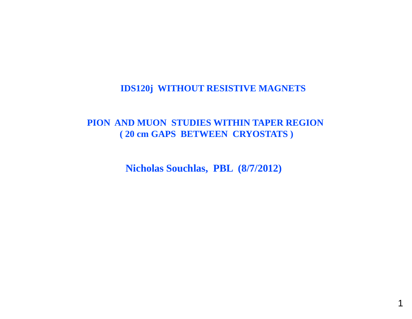# **IDS120j WITHOUT RESISTIVE MAGNETS**

# **PION AND MUON STUDIES WITHIN TAPER REGION ( 20 cm GAPS BETWEEN CRYOSTATS )**

**Nicholas Souchlas, PBL (8/7/2012)**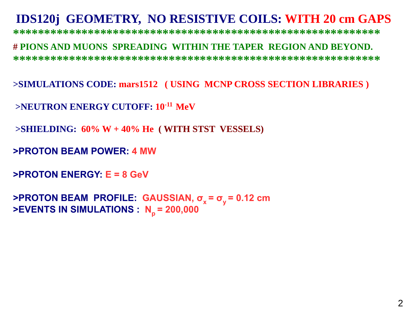# **IDS120j GEOMETRY, NO RESISTIVE COILS: WITH 20 cm GAPS**

**\*\*\*\*\*\*\*\*\*\*\*\*\*\*\*\*\*\*\*\*\*\*\*\*\*\*\*\*\*\*\*\*\*\*\*\*\*\*\*\*\*\*\*\*\*\*\*\*\*\*\*\*\*\*\*\*\*\*\***

#### **# PIONS AND MUONS SPREADING WITHIN THE TAPER REGION AND BEYOND. \*\*\*\*\*\*\*\*\*\*\*\*\*\*\*\*\*\*\*\*\*\*\*\*\*\*\*\*\*\*\*\*\*\*\*\*\*\*\*\*\*\*\*\*\*\*\*\*\*\*\*\*\*\*\*\*\*\*\***

>SIMULATIONS CODE: mars1512 (USING MCNP CROSS SECTION LIBRARIES)

**>NEUTRON ENERGY CUTOFF: 10-11 MeV**

**>SHIELDING: 60% W + 40% He ( WITH STST VESSELS)**

**>PROTON BEAM POWER: 4 MW**

```
>PROTON ENERGY: E = 8 GeV
```
**>PROTON BEAM PROFILE: GAUSSIAN GAUSSIAN, <sup>σ</sup><sup>x</sup>= <sup>σ</sup>y <sup>=</sup> <sup>0</sup> <sup>12</sup> cm 0.12 >EVENTS IN SIMULATIONS : Np = 200,000**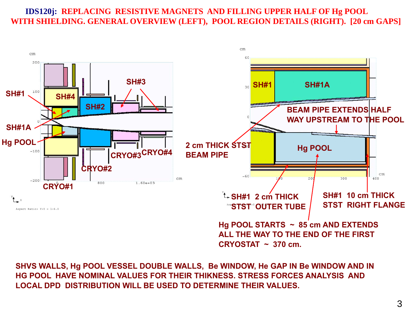## **IDS120j: REPLACING RESISTIVE MAGNETS AND FILLING UPPER HALF OF Hg POOL WITH SHIELDING. GENERAL OVERVIEW (LEFT), POOL REGION DETAILS (RIGHT). [20 cm GAPS]**



**SHVS WALLS, Hg POOL VESSEL DOUBLE WALLS, Be WINDOW, He GAP IN Be WINDOW AND IN**  HG POOL HAVE NOMINAL VALUES FOR THEIR THIKNESS. STRESS FORCES ANALYSIS AND **LOCAL DPD DISTRIBUTION WILL BE USED TO DETERMINE THEIR VALUES.**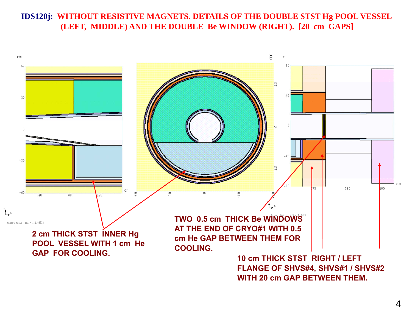## **IDS120j: WITHOUT RESISTIVE MAGNETS. DETAILS OF THE DOUBLE STST Hg POOL VESSEL (LEFT, MIDDLE) AND THE DOUBLE Be WINDOW (RIGHT). [20 cm GAPS]**



4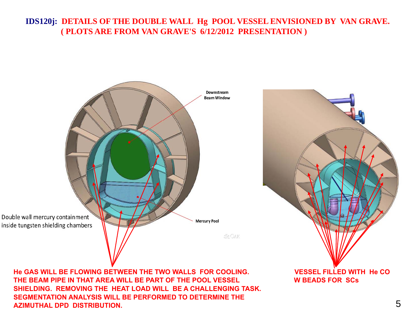## **IDS120j: DETAILS OF THE DOUBLE WALL Hg POOL VESSEL ENVISIONED BY VAN GRAVE. ( PLOTS ARE FROM VAN GRAVE'S 6/12/2012 PRESENTATION )**



**He GAS WILL BE FLOWING BETWEEN THE TWO WALLS FOR COOLING. VESSEL FILLED WITH He COTHE BEAM PIPE IN THAT AREA WILL BE PART OF THE POOL VESSEL W BEADS FOR SCs SHIELDING. REMOVING THE HEAT LOAD WILL BE A CHALLENGING TASK.SEGMENTATION ANALYSIS WILL BE PERFORMED TO DETERMINE THE AZIMUTHAL DPD DISTRIBUTION.**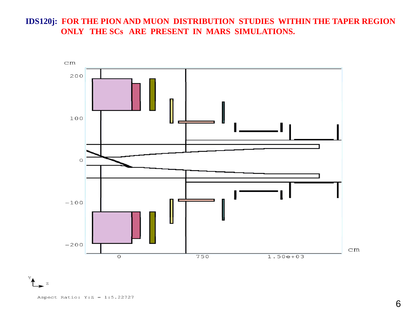### **IDS120j: FOR THE PION AND MUON DISTRIBUTION STUDIES WITHIN THE TAPER REGION ONLY THE SCs ARE PRESENT IN MARS SIMULATIONS.**

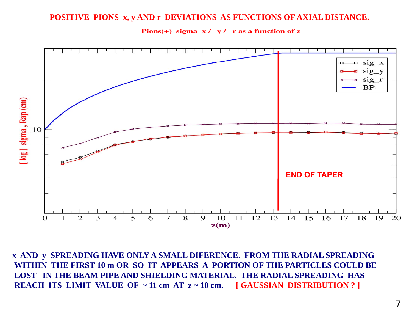#### **POSITIVE PIONS x, y AND r DEVIATIONS AS FUNCTIONS OF AXIAL DISTANCE.**





**x AND y SPREADING HAVE ONLY A SMALL DIFERENCE. FROM THE RADIAL SPREADING WITHIN THE FIRST 10 m OR SO IT APPEARS A PORTION OF THE PARTICLES COULD BE**  LOST IN THE BEAM PIPE AND SHIELDING MATERIAL. THE RADIAL SPREADING HAS **REACH ITS LIMIT VALUE OF ~ 11 cm AT z ~ 10 cm. [ GAUSSIAN DISTRIBUTION ? ]**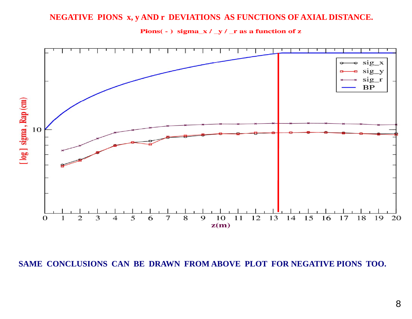#### **NEGATIVE PIONS x, y AND r DEVIATIONS AS FUNCTIONS OF AXIAL DISTANCE.**



Pions(-) sigma\_x / \_y / \_r as a function of z

**SAME CONCLUSIONS CAN BE DRAWN FROM ABOVE PLOT FOR NEGATIVE PIONS TOO.**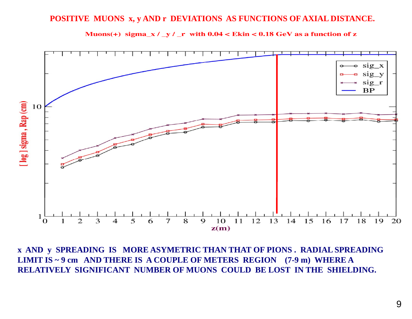#### **POSITIVE MUONS x, y AND r DEVIATIONS AS FUNCTIONS OF AXIAL DISTANCE.**





**x AND y SPREADING IS MORE ASYMETRIC THAN THAT OF PIONS . RADIAL SPREADING LIMIT IS ~ 9 cm AND THERE IS A COUPLE OF METERS REGION (7-9 m) WHERE A RELATIVELY SIGNIFICANT NUMBER OF MUONS COULD BE LOST IN THE SHIELDING.**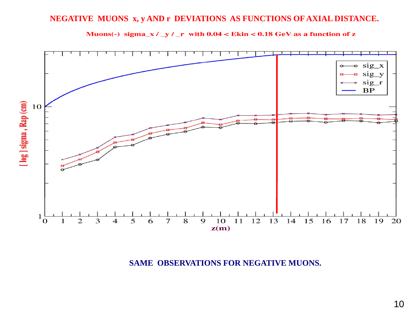# **NEGATIVE MUONS x, y AND r DEVIATIONS AS FUNCTIONS OF AXIAL DISTANCE.**





**SAME OBSERVATIONS FOR NEGATIVE MUONS.**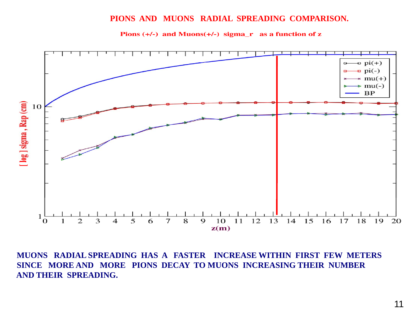#### **PIONS AND MUONS RADIAL SPREADING COMPARISON.**





**MUONS RADIAL SPREADING HAS A FASTER INCREASE WITHIN FIRST FEW METERS SINCE MORE AND MORE PIONS DECAY TO MUONS INCREASING THEIR NUMBER AND THEIR SPREADING SPREADING.**